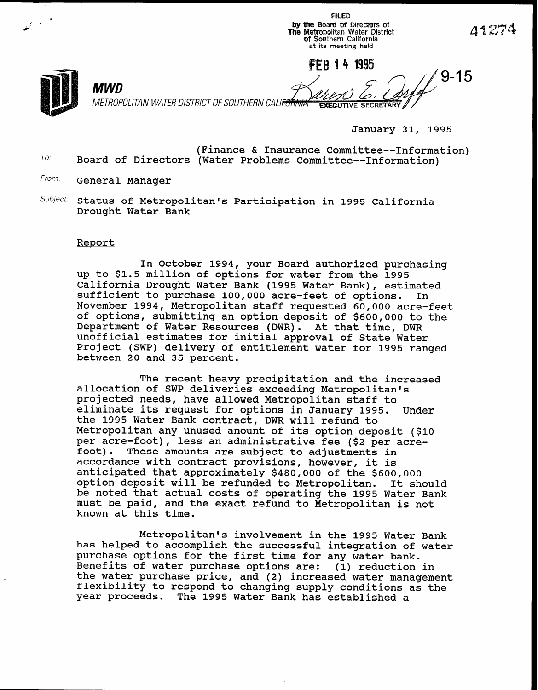**FILED** by the Board of Directors of The Metropolitan Water District of Southern California at its meeting held

FFR 14 1995

METROPOLITAN WATER DISTRICT OF SOUTHERN CALIF<del>ORNIA</del> **EXECUTIVE SECRETARY** 

January 31, 1995

To: (Finance & Insurance Committee--Information) Board of Directors (Water Problems Committee--Information)

From: General Manager

MWD

 $Subject:$  Status of Metropolitan's Participation in 1995 California Drought Water Bank

## Report

In October 1994, your Board authorized purchasing up to \$1.5 million of options for water from the 1995 California Drought Water Bank (1995 Water Bank), estimated sufficient to purchase 100,000 acre-feet of options. In November 1994, Metropolitan staff requested 60,000 acre-feet of options, submitting an option deposit of \$600,000 to the Department of Water Resources (DWR). At that time, DWR unofficial estimates for initial approval of State Water Project (SWP) delivery of entitlement water for 1995 ranged between 20 and 35 percent.

The recent heavy precipitation and the increased allocation of SWP deliveries exceeding Metropolitan's projected needs, have allowed Metropolitan staff to eliminate its request for options in January 1995. Under the 1995 Water Bank contract, DWR will refund to Metropolitan any unused amount of its option deposit (\$10 per acre-foot), less an administrative fee (\$2 per acrefoot). These amounts are subject to adjustments in accordance with contract provisions, however, it is anticipated that approximately \$480,000 of the \$600,000 option deposit will be refunded to Metropolitan. It should be noted that actual costs of operating the 1995 Water Bank must be paid, and the exact refund to Metropolitan is not known at this time.

Metropolitan's involvement in the 1995 Water Bank has helped to accomplish the successful integration of water purchase options for the first time for any water bank. Benefits of water purchase options are: (1) reduction in the water purchase price, and (2) increased water management flexibility to respond to changing supply conditions as the year proceeds. The 1995 Water Bank has established a

41274

 $\sqrt{9-15}$